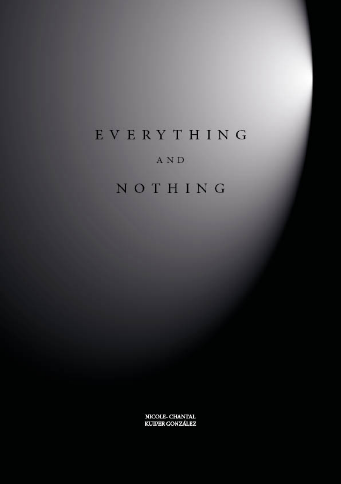# EVERYTHING

### **AND**

# NOTHING

NICOLE-CHANTAL KUIPER GONZÁLEZ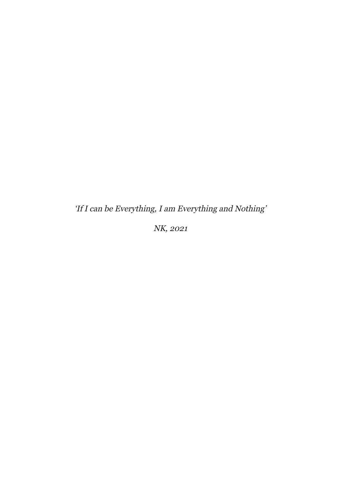'If I can be Everything, I am Everything and Nothing'

NK, 2021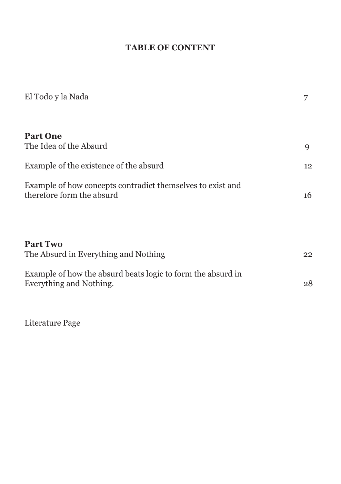# **TABLE OF CONTENT**

| El Todo y la Nada                                                                       |    |
|-----------------------------------------------------------------------------------------|----|
| <b>Part One</b><br>The Idea of the Absurd                                               | 9  |
| Example of the existence of the absurd                                                  | 12 |
| Example of how concepts contradict themselves to exist and<br>therefore form the absurd | 16 |
| <b>Part Two</b><br>The Absurd in Everything and Nothing                                 | 22 |
| Example of how the absurd beats logic to form the absurd in<br>Everything and Nothing.  | 28 |

Literature Page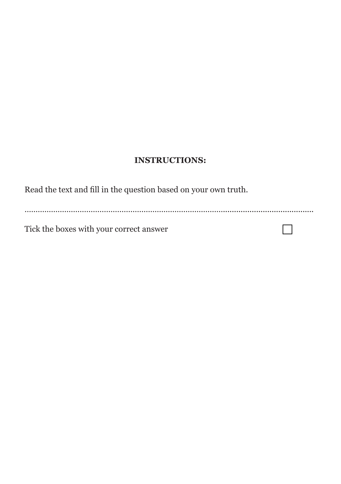### **INSTRUCTIONS:**

Read the text and fill in the question based on your own truth.

……………………………………………………………………………….........................................

 $\Box$ 

Tick the boxes with your correct answer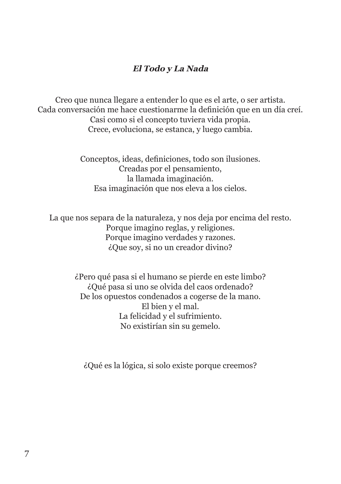#### **El Todo y La Nada**

Creo que nunca llegare a entender lo que es el arte, o ser artista. Cada conversación me hace cuestionarme la definición que en un día creí. Casi como si el concepto tuviera vida propia. Crece, evoluciona, se estanca, y luego cambia.

> Conceptos, ideas, definiciones, todo son ilusiones. Creadas por el pensamiento, la llamada imaginación. Esa imaginación que nos eleva a los cielos.

La que nos separa de la naturaleza, y nos deja por encima del resto. Porque imagino reglas, y religiones. Porque imagino verdades y razones. ¿Que soy, si no un creador divino?

> ¿Pero qué pasa si el humano se pierde en este limbo? ¿Qué pasa si uno se olvida del caos ordenado? De los opuestos condenados a cogerse de la mano. El bien y el mal. La felicidad y el sufrimiento. No existirían sin su gemelo.

¿Qué es la lógica, si solo existe porque creemos?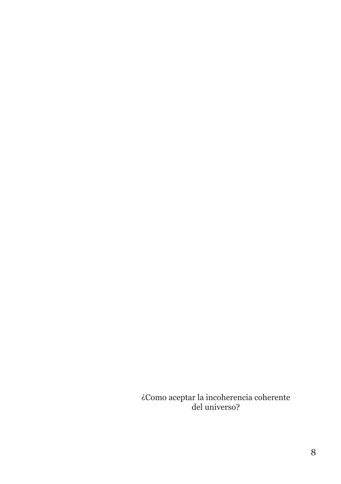¿Como aceptar la incoherencia coherente del universo?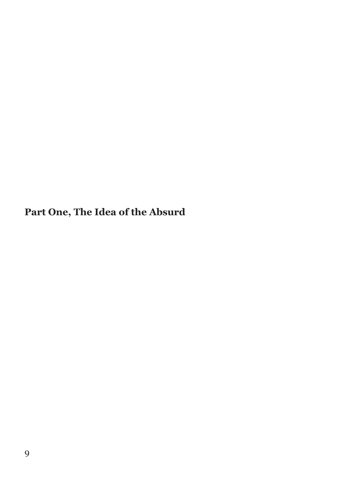**Part One, The Idea of the Absurd**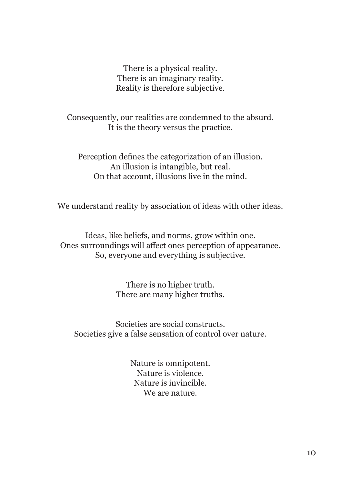There is a physical reality. There is an imaginary reality. Reality is therefore subjective.

Consequently, our realities are condemned to the absurd. It is the theory versus the practice.

Perception defines the categorization of an illusion. An illusion is intangible, but real. On that account, illusions live in the mind.

We understand reality by association of ideas with other ideas.

Ideas, like beliefs, and norms, grow within one. Ones surroundings will affect ones perception of appearance. So, everyone and everything is subjective.

> There is no higher truth. There are many higher truths.

Societies are social constructs. Societies give a false sensation of control over nature.

> Nature is omnipotent. Nature is violence. Nature is invincible. We are nature.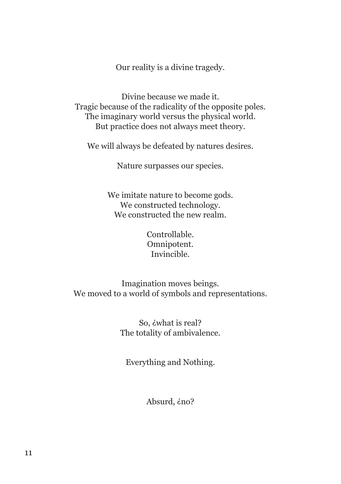Our reality is a divine tragedy.

Divine because we made it. Tragic because of the radicality of the opposite poles. The imaginary world versus the physical world. But practice does not always meet theory.

We will always be defeated by natures desires.

Nature surpasses our species.

We imitate nature to become gods. We constructed technology. We constructed the new realm.

> Controllable. Omnipotent. Invincible.

Imagination moves beings. We moved to a world of symbols and representations.

> So, ¿what is real? The totality of ambivalence.

Everything and Nothing.

Absurd, *ino*?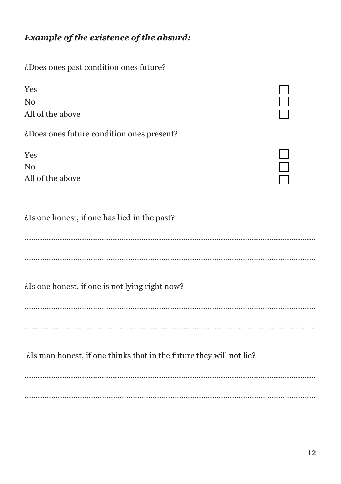# *Example of the existence of the absurd:*

| ¿Does ones past condition ones future?                             |  |
|--------------------------------------------------------------------|--|
| Yes<br>N <sub>o</sub><br>All of the above                          |  |
| ¿Does ones future condition ones present?                          |  |
| Yes<br>N <sub>0</sub><br>All of the above                          |  |
| ¿Is one honest, if one has lied in the past?                       |  |
|                                                                    |  |
| ¿Is one honest, if one is not lying right now?                     |  |
|                                                                    |  |
| is man honest, if one thinks that in the future they will not lie? |  |
|                                                                    |  |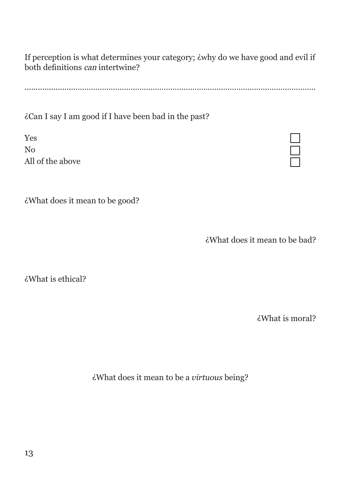If perception is what determines your category; ¿why do we have good and evil if both definitions can intertwine?

........................………………………………………………………………………………………………

¿Can I say I am good if I have been bad in the past?

Yes No All of the above

¿What does it mean to be good?

¿What does it mean to be bad?

¿What is ethical?

¿What is moral?

¿What does it mean to be a *virtuous* being?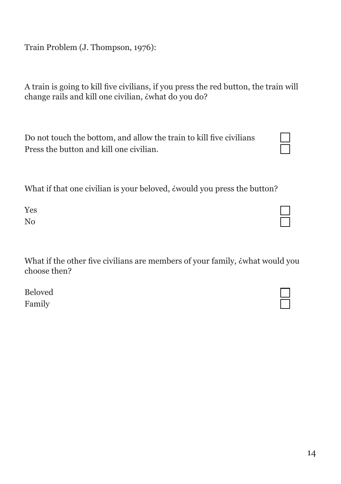Train Problem (J. Thompson, 1976):

A train is going to kill five civilians, if you press the red button, the train will change rails and kill one civilian, *i* what do you do?

Do not touch the bottom, and allow the train to kill five civilians Press the button and kill one civilian.

What if that one civilian is your beloved, *i* would you press the button?

Yes No

What if the other five civilians are members of your family, *i* what would you choose then?

Beloved Family

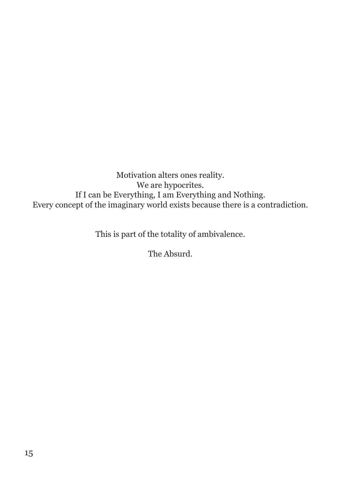Motivation alters ones reality. We are hypocrites. If I can be Everything, I am Everything and Nothing. Every concept of the imaginary world exists because there is a contradiction.

This is part of the totality of ambivalence.

The Absurd.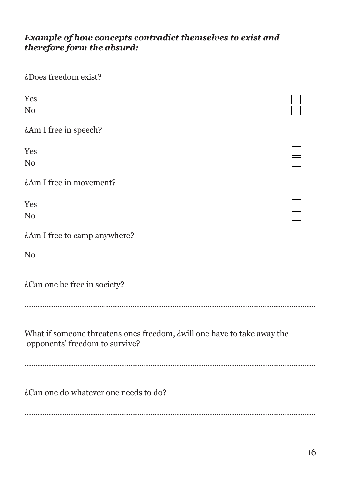#### *Example of how concepts contradict themselves to exist and therefore form the absurd:*

| ¿Does freedom exist?                                                                                             |  |
|------------------------------------------------------------------------------------------------------------------|--|
| Yes<br>N <sub>0</sub>                                                                                            |  |
| ¿Am I free in speech?                                                                                            |  |
| Yes<br>N <sub>0</sub>                                                                                            |  |
| ¿Am I free in movement?                                                                                          |  |
| Yes<br>N <sub>0</sub>                                                                                            |  |
| ¿Am I free to camp anywhere?                                                                                     |  |
| N <sub>0</sub>                                                                                                   |  |
| ¿Can one be free in society?                                                                                     |  |
|                                                                                                                  |  |
| What if someone threatens ones freedom, <i>ivill</i> one have to take away the<br>opponents' freedom to survive? |  |
| ¿Can one do whatever one needs to do?                                                                            |  |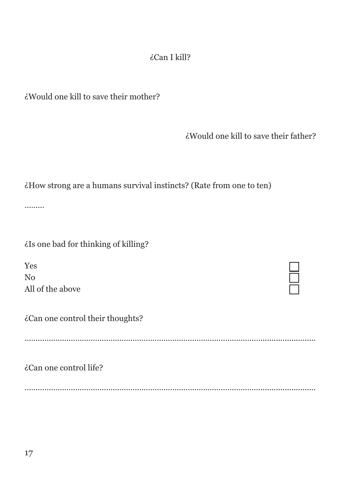# ¿Can I kill?

¿Would one kill to save their mother?

¿Would one kill to save their father?

| ¿How strong are a humans survival instincts? (Rate from one to ten) |  |  |  |
|---------------------------------------------------------------------|--|--|--|
|                                                                     |  |  |  |
|                                                                     |  |  |  |
|                                                                     |  |  |  |

………

¿Is one bad for thinking of killing?

Yes No All of the above

¿Can one control their thoughts?

………………………………………………………………………………………………........................

¿Can one control life?

…………………………………….……………………………………………………….......................…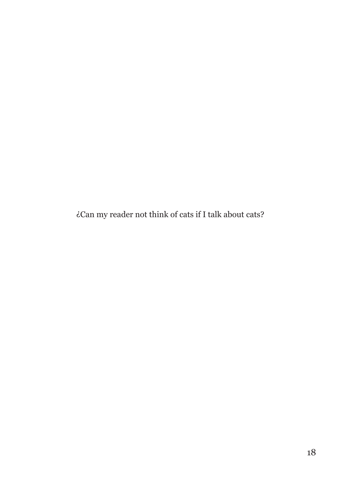¿Can my reader not think of cats if I talk about cats?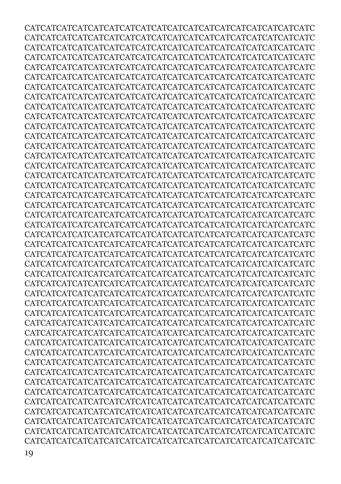CATCATCATCATCATCATCATCATCATCATCATCATCATCATCATCATCATCATC CATCATCATCATCATCATCATCATCATCATCATCATCATCATCATCATCATCATC CATCATCATCATCATCATCATCATCATCATCATCATCATCATCATCATCATCATC CATCATCATCATCATCATCATCATCATCATCATCATCATCATCATCATCATCATC CATCATCATCATCATCATCATCATCATCATCATCATCATCATCATCATCATCATC CATCATCATCATCATCATCATCATCATCATCATCATCATCATCATCATCATCATC CATCATCATCATCATCATCATCATCATCATCATCATCATCATCATCATCATCATC CATCATCATCATCATCATCATCATCATCATCATCATCATCATCATCATCATCATC CATCATCATCATCATCATCATCATCATCATCATCATCATCATCATCATCATCATC CATCATCATCATCATCATCATCATCATCATCATCATCATCATCATCATCATCATC CATCATCATCATCATCATCATCATCATCATCATCATCATCATCATCATCATCATC CATCATCATCATCATCATCATCATCATCATCATCATCATCATCATCATCATCATC CATCATCATCATCATCATCATCATCATCATCATCATCATCATCATCATCATCATC CATCATCATCATCATCATCATCATCATCATCATCATCATCATCATCATCATCATC CATCATCATCATCATCATCATCATCATCATCATCATCATCATCATCATCATCATC CATCATCATCATCATCATCATCATCATCATCATCATCATCATCATCATCATCATC CATCATCATCATCATCATCATCATCATCATCATCATCATCATCATCATCATCATC CATCATCATCATCATCATCATCATCATCATCATCATCATCATCATCATCATCATC CATCATCATCATCATCATCATCATCATCATCATCATCATCATCATCATCATCATC CATCATCATCATCATCATCATCATCATCATCATCATCATCATCATCATCATCATC CATCATCATCATCATCATCATCATCATCATCATCATCATCATCATCATCATCATC CATCATCATCATCATCATCATCATCATCATCATCATCATCATCATCATCATCATC CATCATCATCATCATCATCATCATCATCATCATCATCATCATCATCATCATCATC CATCATCATCATCATCATCATCATCATCATCATCATCATCATCATCATCATCATC CATCATCATCATCATCATCATCATCATCATCATCATCATCATCATCATCATCATC CATCATCATCATCATCATCATCATCATCATCATCATCATCATCATCATCATCATC CATCATCATCATCATCATCATCATCATCATCATCATCATCATCATCATCATCATC CATCATCATCATCATCATCATCATCATCATCATCATCATCATCATCATCATCATC CATCATCATCATCATCATCATCATCATCATCATCATCATCATCATCATCATCATC CATCATCATCATCATCATCATCATCATCATCATCATCATCATCATCATCATCATC CATCATCATCATCATCATCATCATCATCATCATCATCATCATCATCATCATCATC CATCATCATCATCATCATCATCATCATCATCATCATCATCATCATCATCATCATC CATCATCATCATCATCATCATCATCATCATCATCATCATCATCATCATCATCATC CATCATCATCATCATCATCATCATCATCATCATCATCATCATCATCATCATCATC CATCATCATCATCATCATCATCATCATCATCATCATCATCATCATCATCATCATC CATCATCATCATCATCATCATCATCATCATCATCATCATCATCATCATCATCATC CATCATCATCATCATCATCATCATCATCATCATCATCATCATCATCATCATCATC CATCATCATCATCATCATCATCATCATCATCATCATCATCATCATCATCATCATC CATCATCATCATCATCATCATCATCATCATCATCATCATCATCATCATCATCATC CATCATCATCATCATCATCATCATCATCATCATCATCATCATCATCATCATCATC CATCATCATCATCATCATCATCATCATCATCATCATCATCATCATCATCATCATC CATCATCATCATCATCATCATCATCATCATCATCATCATCATCATCATCATCATC CATCATCATCATCATCATCATCATCATCATCATCATCATCATCATCATCATCATC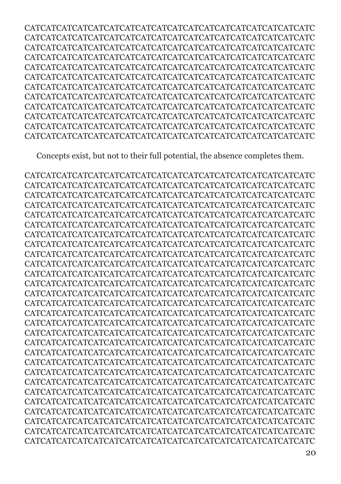CATCATCATCATCATCATCATCATCATCATCATCATCATCATCATCATCATCATC CATCATCATCATCATCATCATCATCATCATCATCATCATCATCATCATCATCATC CATCATCATCATCATCATCATCATCATCATCATCATCATCATCATCATCATCATC CATCATCATCATCATCATCATCATCATCATCATCATCATCATCATCATCATCATC CATCATCATCATCATCATCATCATCATCATCATCATCATCATCATCATCATCATC CATCATCATCATCATCATCATCATCATCATCATCATCATCATCATCATCATCATC CATCATCATCATCATCATCATCATCATCATCATCATCATCATCATCATCATCATC CATCATCATCATCATCATCATCATCATCATCATCATCATCATCATCATCATCATC CATCATCATCATCATCATCATCATCATCATCATCATCATCATCATCATCATCATC CATCATCATCATCATCATCATCATCATCATCATCATCATCATCATCATCATCATC CATCATCATCATCATCATCATCATCATCATCATCATCATCATCATCATCATCATC CATCATCATCATCATCATCATCATCATCATCATCATCATCATCATCATCATCATC

Concepts exist, but not to their full potential, the absence completes them.

CATCATCATCATCATCATCATCATCATCATCATCATCATCATCATCATCATCATC CATCATCATCATCATCATCATCATCATCATCATCATCATCATCATCATCATCATC CATCATCATCATCATCATCATCATCATCATCATCATCATCATCATCATCATCATC CATCATCATCATCATCATCATCATCATCATCATCATCATCATCATCATCATCATC CATCATCATCATCATCATCATCATCATCATCATCATCATCATCATCATCATCATC CATCATCATCATCATCATCATCATCATCATCATCATCATCATCATCATCATCATC CATCATCATCATCATCATCATCATCATCATCATCATCATCATCATCATCATCATC CATCATCATCATCATCATCATCATCATCATCATCATCATCATCATCATCATCATC CATCATCATCATCATCATCATCATCATCATCATCATCATCATCATCATCATCATC CATCATCATCATCATCATCATCATCATCATCATCATCATCATCATCATCATCATC CATCATCATCATCATCATCATCATCATCATCATCATCATCATCATCATCATCATC CATCATCATCATCATCATCATCATCATCATCATCATCATCATCATCATCATCATC CATCATCATCATCATCATCATCATCATCATCATCATCATCATCATCATCATCATC CATCATCATCATCATCATCATCATCATCATCATCATCATCATCATCATCATCATC CATCATCATCATCATCATCATCATCATCATCATCATCATCATCATCATCATCATC CATCATCATCATCATCATCATCATCATCATCATCATCATCATCATCATCATCATC CATCATCATCATCATCATCATCATCATCATCATCATCATCATCATCATCATCATC CATCATCATCATCATCATCATCATCATCATCATCATCATCATCATCATCATCATC CATCATCATCATCATCATCATCATCATCATCATCATCATCATCATCATCATCATC CATCATCATCATCATCATCATCATCATCATCATCATCATCATCATCATCATCATC CATCATCATCATCATCATCATCATCATCATCATCATCATCATCATCATCATCATC CATCATCATCATCATCATCATCATCATCATCATCATCATCATCATCATCATCATC CATCATCATCATCATCATCATCATCATCATCATCATCATCATCATCATCATCATC CATCATCATCATCATCATCATCATCATCATCATCATCATCATCATCATCATCATC CATCATCATCATCATCATCATCATCATCATCATCATCATCATCATCATCATCATC CATCATCATCATCATCATCATCATCATCATCATCATCATCATCATCATCATCATC CATCATCATCATCATCATCATCATCATCATCATCATCATCATCATCATCATCATC CATCATCATCATCATCATCATCATCATCATCATCATCATCATCATCATCATCATC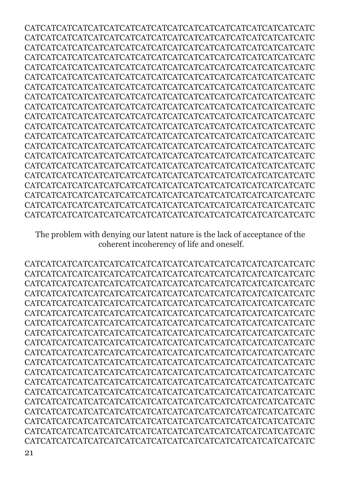CATCATCATCATCATCATCATCATCATCATCATCATCATCATCATCATCATCATC CATCATCATCATCATCATCATCATCATCATCATCATCATCATCATCATCATCATC CATCATCATCATCATCATCATCATCATCATCATCATCATCATCATCATCATCATC CATCATCATCATCATCATCATCATCATCATCATCATCATCATCATCATCATCATC CATCATCATCATCATCATCATCATCATCATCATCATCATCATCATCATCATCATC CATCATCATCATCATCATCATCATCATCATCATCATCATCATCATCATCATCATC CATCATCATCATCATCATCATCATCATCATCATCATCATCATCATCATCATCATC CATCATCATCATCATCATCATCATCATCATCATCATCATCATCATCATCATCATC CATCATCATCATCATCATCATCATCATCATCATCATCATCATCATCATCATCATC CATCATCATCATCATCATCATCATCATCATCATCATCATCATCATCATCATCATC CATCATCATCATCATCATCATCATCATCATCATCATCATCATCATCATCATCATC CATCATCATCATCATCATCATCATCATCATCATCATCATCATCATCATCATCATC CATCATCATCATCATCATCATCATCATCATCATCATCATCATCATCATCATCATC CATCATCATCATCATCATCATCATCATCATCATCATCATCATCATCATCATCATC CATCATCATCATCATCATCATCATCATCATCATCATCATCATCATCATCATCATC CATCATCATCATCATCATCATCATCATCATCATCATCATCATCATCATCATCATC CATCATCATCATCATCATCATCATCATCATCATCATCATCATCATCATCATCATC CATCATCATCATCATCATCATCATCATCATCATCATCATCATCATCATCATCATC CATCATCATCATCATCATCATCATCATCATCATCATCATCATCATCATCATCATC CATCATCATCATCATCATCATCATCATCATCATCATCATCATCATCATCATCATC

The problem with denying our latent nature is the lack of acceptance of the coherent incoherency of life and oneself.

CATCATCATCATCATCATCATCATCATCATCATCATCATCATCATCATCATCATC CATCATCATCATCATCATCATCATCATCATCATCATCATCATCATCATCATCATC CATCATCATCATCATCATCATCATCATCATCATCATCATCATCATCATCATCATC CATCATCATCATCATCATCATCATCATCATCATCATCATCATCATCATCATCATC CATCATCATCATCATCATCATCATCATCATCATCATCATCATCATCATCATCATC CATCATCATCATCATCATCATCATCATCATCATCATCATCATCATCATCATCATC CATCATCATCATCATCATCATCATCATCATCATCATCATCATCATCATCATCATC CATCATCATCATCATCATCATCATCATCATCATCATCATCATCATCATCATCATC CATCATCATCATCATCATCATCATCATCATCATCATCATCATCATCATCATCATC CATCATCATCATCATCATCATCATCATCATCATCATCATCATCATCATCATCATC CATCATCATCATCATCATCATCATCATCATCATCATCATCATCATCATCATCATC CATCATCATCATCATCATCATCATCATCATCATCATCATCATCATCATCATCATC CATCATCATCATCATCATCATCATCATCATCATCATCATCATCATCATCATCATC CATCATCATCATCATCATCATCATCATCATCATCATCATCATCATCATCATCATC CATCATCATCATCATCATCATCATCATCATCATCATCATCATCATCATCATCATC CATCATCATCATCATCATCATCATCATCATCATCATCATCATCATCATCATCATC CATCATCATCATCATCATCATCATCATCATCATCATCATCATCATCATCATCATC CATCATCATCATCATCATCATCATCATCATCATCATCATCATCATCATCATCATC CATCATCATCATCATCATCATCATCATCATCATCATCATCATCATCATCATCATC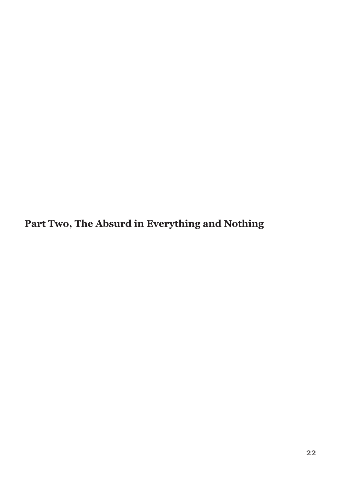**Part Two, The Absurd in Everything and Nothing**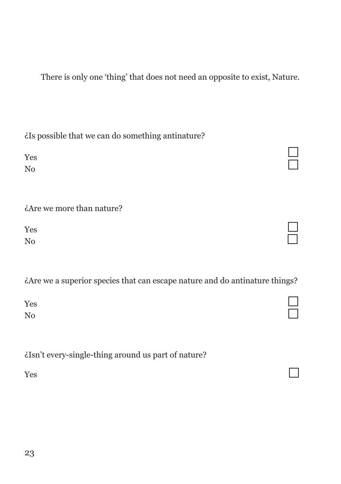There is only one 'thing' that does not need an opposite to exist, Nature.

¿Is possible that we can do something antinature?

Yes No

¿Are we more than nature?

Yes No

¿Are we a superior species that can escape nature and do antinature things?

Yes No

¿Isn't every-single-thing around us part of nature?

Yes

| ۰. |          |
|----|----------|
|    | ۰.<br>۰. |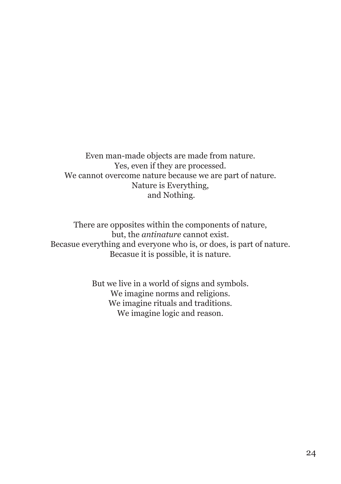Even man-made objects are made from nature. Yes, even if they are processed. We cannot overcome nature because we are part of nature. Nature is Everything, and Nothing.

There are opposites within the components of nature, but, the *antinature* cannot exist. Becasue everything and everyone who is, or does, is part of nature. Becasue it is possible, it is nature.

> But we live in a world of signs and symbols. We imagine norms and religions. We imagine rituals and traditions. We imagine logic and reason.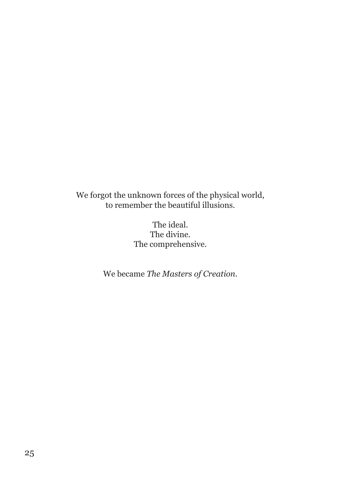We forgot the unknown forces of the physical world, to remember the beautiful illusions.

> The ideal. The divine. The comprehensive.

We became *The Masters of Creation.*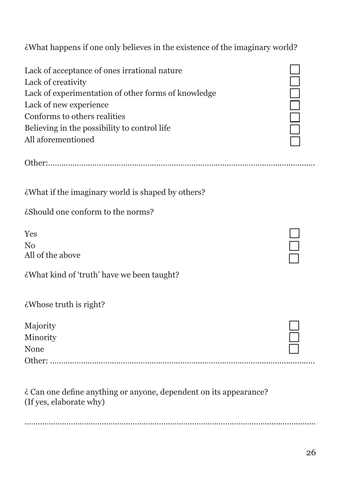¿What happens if one only believes in the existence of the imaginary world?

Other:…….…………………………………………………………….....…………………...................

| Lack of acceptance of ones irrational nature        |
|-----------------------------------------------------|
| Lack of creativity                                  |
| Lack of experimentation of other forms of knowledge |
| Lack of new experience                              |
| Conforms to others realities                        |
| Believing in the possibility to control life        |
| All aforementioned                                  |

¿What if the imaginary world is shaped by others?

¿Should one conform to the norms?

Yes No All of the above

¿What kind of 'truth' have we been taught?

| ¿Whose truth is right? |  |  |
|------------------------|--|--|
|                        |  |  |

| Majority |  |
|----------|--|
| Minority |  |
| None     |  |
|          |  |

¿ Can one define anything or anyone, dependent on its appearance? (If yes, elaborate why)

………………………………………………………………………………………………........................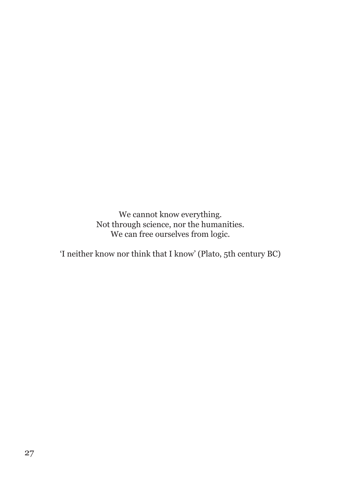We cannot know everything. Not through science, nor the humanities. We can free ourselves from logic.

'I neither know nor think that I know' (Plato, 5th century BC)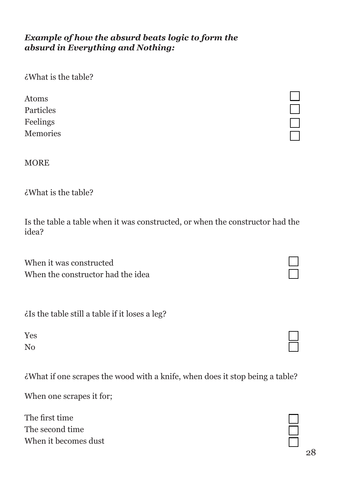#### *Example of how the absurd beats logic to form the absurd in Everything and Nothing:*

¿What is the table?

Atoms Particles Feelings Memories

#### MORE

¿What is the table?

Is the table a table when it was constructed, or when the constructor had the idea?

When it was constructed When the constructor had the idea

¿Is the table still a table if it loses a leg?

Yes No

¿What if one scrapes the wood with a knife, when does it stop being a table?

When one scrapes it for;

The first time The second time When it becomes dust

 $\Box$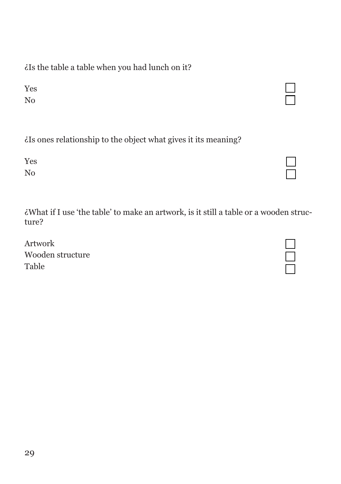¿Is the table a table when you had lunch on it?

Yes No

|  |  |  |  | is ones relationship to the object what gives it its meaning? |  |
|--|--|--|--|---------------------------------------------------------------|--|

| Yes            | $\Box$ |
|----------------|--------|
| N <sub>o</sub> | $\Box$ |

¿What if I use 'the table' to make an artwork, is it still a table or a wooden structure?

Artwork Wooden structure Table

 $\Box$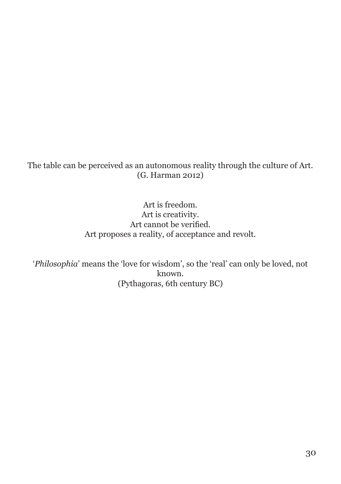The table can be perceived as an autonomous reality through the culture of Art. (G. Harman 2012)

> Art is freedom. Art is creativity. Art cannot be verified. Art proposes a reality, of acceptance and revolt.

'*Philosophia*' means the 'love for wisdom', so the 'real' can only be loved, not known. (Pythagoras, 6th century BC)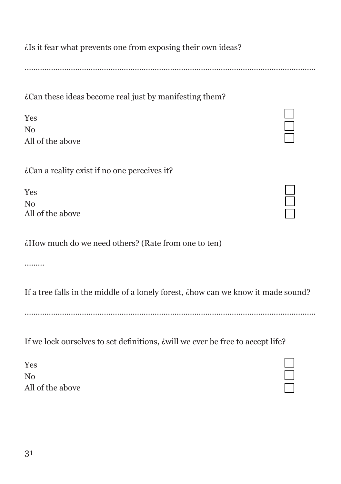¿Is it fear what prevents one from exposing their own ideas?

………………………………………………………………………………………………........................

¿Can these ideas become real just by manifesting them?

| Yes              |
|------------------|
| No               |
| All of the above |

¿Can a reality exist if no one perceives it?

Yes No All of the above

¿How much do we need others? (Rate from one to ten)

………

If a tree falls in the middle of a lonely forest, ¿how can we know it made sound?

………………………………………………………………………………………………........................

If we lock ourselves to set definitions, ¿will we ever be free to accept life?

Yes No All of the above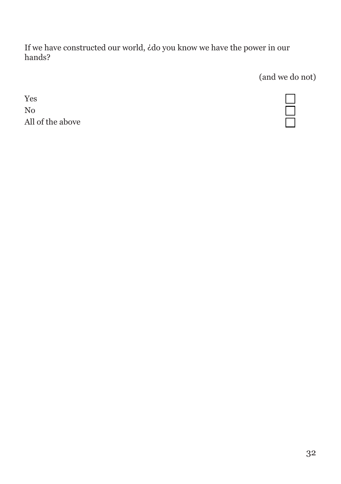If we have constructed our world, ¿do you know we have the power in our hands?

(and we do not)

Yes No All of the above

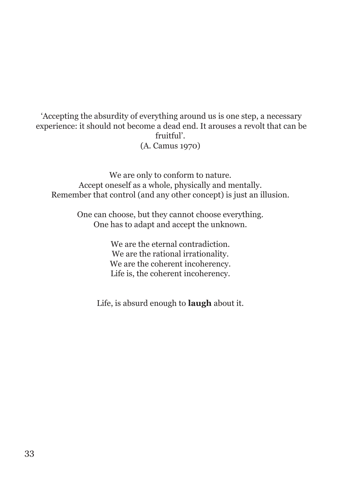#### 'Accepting the absurdity of everything around us is one step, a necessary experience: it should not become a dead end. It arouses a revolt that can be fruitful'. (A. Camus 1970)

We are only to conform to nature. Accept oneself as a whole, physically and mentally. Remember that control (and any other concept) is just an illusion.

> One can choose, but they cannot choose everything. One has to adapt and accept the unknown.

> > We are the eternal contradiction. We are the rational irrationality. We are the coherent incoherency. Life is, the coherent incoherency.

Life, is absurd enough to **laugh** about it.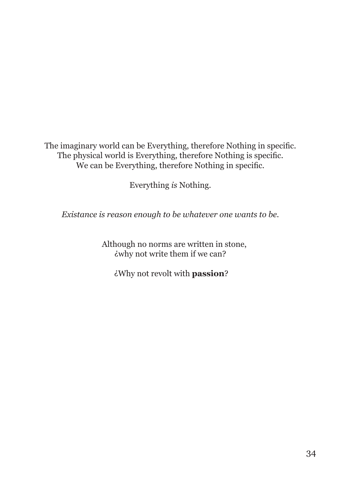The imaginary world can be Everything, therefore Nothing in specific. The physical world is Everything, therefore Nothing is specific. We can be Everything, therefore Nothing in specific.

Everything *is* Nothing.

*Existance is reason enough to be whatever one wants to be.*

 Although no norms are written in stone, ¿why not write them if we can?

¿Why not revolt with **passion**?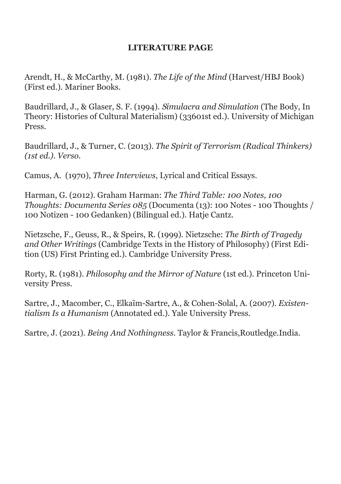#### **LITERATURE PAGE**

Arendt, H., & McCarthy, M. (1981). *The Life of the Mind* (Harvest/HBJ Book) (First ed.). Mariner Books.

Baudrillard, J., & Glaser, S. F. (1994). S*imulacra and Simulation* (The Body, In Theory: Histories of Cultural Materialism) (33601st ed.). University of Michigan Press.

Baudrillard, J., & Turner, C. (2013). *The Spirit of Terrorism (Radical Thinkers) (1st ed.). Verso.*

Camus, A. (1970), *Three Interviews*, Lyrical and Critical Essays.

Harman, G. (2012). Graham Harman: *The Third Table: 100 Notes, 100 Thoughts: Documenta Series 085* (Documenta (13): 100 Notes - 100 Thoughts / 100 Notizen - 100 Gedanken) (Bilingual ed.). Hatje Cantz.

Nietzsche, F., Geuss, R., & Speirs, R. (1999). Nietzsche: *The Birth of Tragedy and Other Writings* (Cambridge Texts in the History of Philosophy) (First Edition (US) First Printing ed.). Cambridge University Press.

Rorty, R. (1981). *Philosophy and the Mirror of Nature* (1st ed.). Princeton University Press.

Sartre, J., Macomber, C., Elkaïm-Sartre, A., & Cohen-Solal, A. (2007). *Existentialism Is a Humanism* (Annotated ed.). Yale University Press.

Sartre, J. (2021). *Being And Nothingness.* Taylor & Francis,Routledge.India.